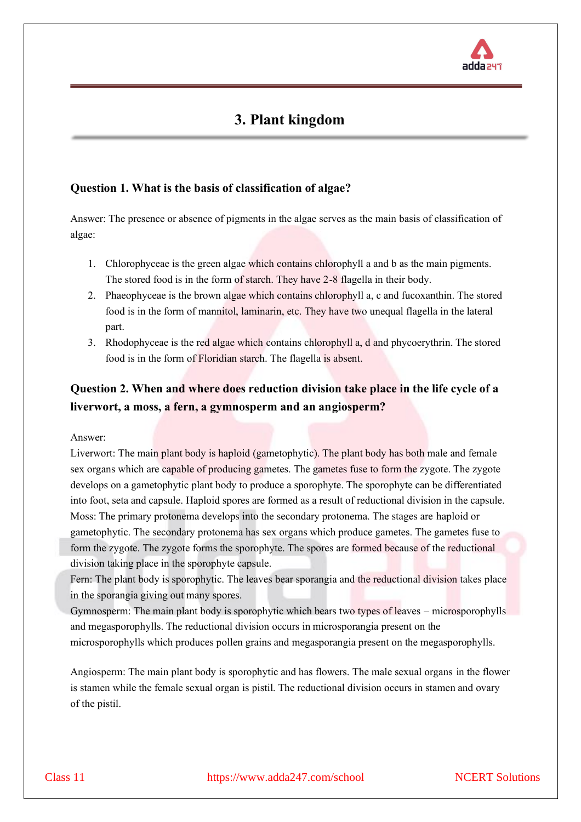

# **3. Plant kingdom**

#### **Question 1. What is the basis of classification of algae?**

Answer: The presence or absence of pigments in the algae serves as the main basis of classification of algae:

- 1. Chlorophyceae is the green algae which contains chlorophyll a and b as the main pigments. The stored food is in the form of starch. They have 2-8 flagella in their body.
- 2. Phaeophyceae is the brown algae which contains chlorophyll a, c and fucoxanthin. The stored food is in the form of mannitol, laminarin, etc. They have two unequal flagella in the lateral part.
- 3. Rhodophyceae is the red algae which contains chlorophyll a, d and phycoerythrin. The stored food is in the form of Floridian starch. The flagella is absent.

## **Question 2. When and where does reduction division take place in the life cycle of a liverwort, a moss, a fern, a gymnosperm and an angiosperm?**

Answer:

Liverwort: The main plant body is haploid (gametophytic). The plant body has both male and female sex organs which are capable of producing gametes. The gametes fuse to form the zygote. The zygote develops on a gametophytic plant body to produce a sporophyte. The sporophyte can be differentiated into foot, seta and capsule. Haploid spores are formed as a result of reductional division in the capsule. Moss: The primary protonema develops into the secondary protonema. The stages are haploid or gametophytic. The secondary protonema has sex organs which produce gametes. The gametes fuse to form the zygote. The zygote forms the sporophyte. The spores are formed because of the reductional division taking place in the sporophyte capsule.

Fern: The plant body is sporophytic. The leaves bear sporangia and the reductional division takes place in the sporangia giving out many spores.

Gymnosperm: The main plant body is sporophytic which bears two types of leaves – microsporophylls and megasporophylls. The reductional division occurs in microsporangia present on the microsporophylls which produces pollen grains and megasporangia present on the megasporophylls.

Angiosperm: The main plant body is sporophytic and has flowers. The male sexual organs in the flower is stamen while the female sexual organ is pistil. The reductional division occurs in stamen and ovary of the pistil.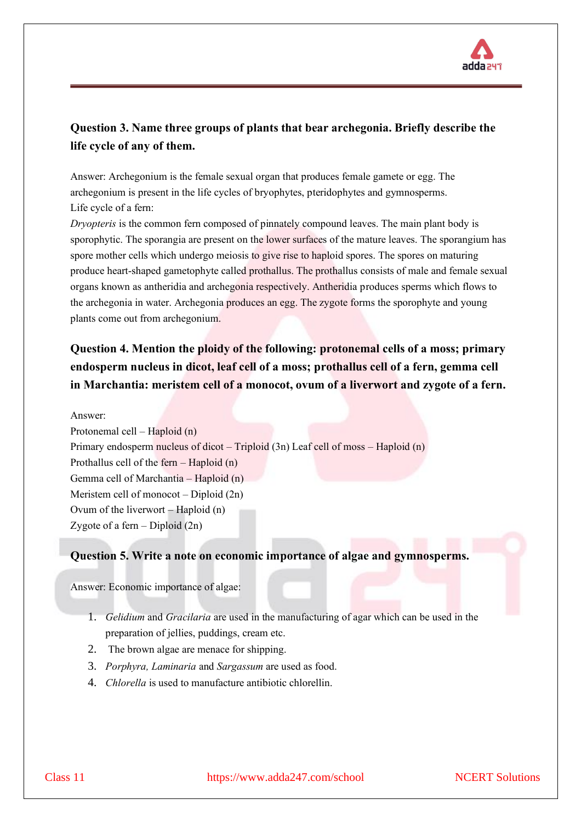

### **Question 3. Name three groups of plants that bear archegonia. Briefly describe the life cycle of any of them.**

Answer: Archegonium is the female sexual organ that produces female gamete or egg. The archegonium is present in the life cycles of bryophytes, pteridophytes and gymnosperms. Life cycle of a fern:

*Dryopteris* is the common fern composed of pinnately compound leaves. The main plant body is sporophytic. The sporangia are present on the lower surfaces of the mature leaves. The sporangium has spore mother cells which undergo meiosis to give rise to haploid spores. The spores on maturing produce heart-shaped gametophyte called prothallus. The prothallus consists of male and female sexual organs known as antheridia and archegonia respectively. Antheridia produces sperms which flows to the archegonia in water. Archegonia produces an egg. The zygote forms the sporophyte and young plants come out from archegonium.

## **Question 4. Mention the ploidy of the following: protonemal cells of a moss; primary endosperm nucleus in dicot, leaf cell of a moss; prothallus cell of a fern, gemma cell in Marchantia: meristem cell of a monocot, ovum of a liverwort and zygote of a fern.**

Answer: Protonemal cell – Haploid (n) Primary endosperm nucleus of dicot – Triploid (3n) Leaf cell of moss – Haploid (n) Prothallus cell of the fern – Haploid (n) Gemma cell of Marchantia – Haploid (n) Meristem cell of monocot – Diploid (2n) Ovum of the liverwort – Haploid (n) Zygote of a fern  $-$  Diploid  $(2n)$ 

#### **Question 5. Write a note on economic importance of algae and gymnosperms.**

Answer: Economic importance of algae:

- 1. *Gelidium* and *Gracilaria* are used in the manufacturing of agar which can be used in the preparation of jellies, puddings, cream etc.
- 2. The brown algae are menace for shipping.
- 3. *Porphyra, Laminaria* and *Sargassum* are used as food.
- 4. *Chlorella* is used to manufacture antibiotic chlorellin.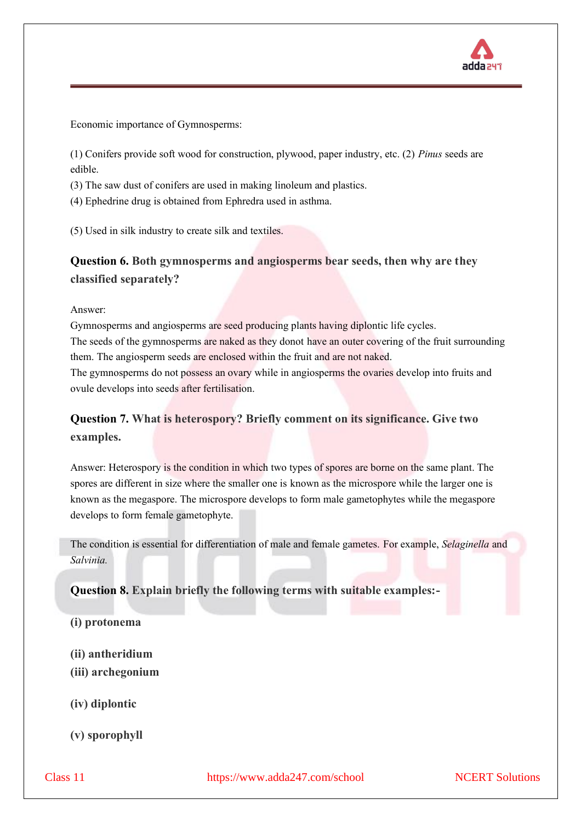

Economic importance of Gymnosperms:

(1) Conifers provide soft wood for construction, plywood, paper industry, etc. (2) *Pinus* seeds are edible.

(3) The saw dust of conifers are used in making linoleum and plastics.

(4) Ephedrine drug is obtained from Ephredra used in asthma.

(5) Used in silk industry to create silk and textiles.

### **Question 6. Both gymnosperms and angiosperms bear seeds, then why are they classified separately?**

Answer:

Gymnosperms and angiosperms are seed producing plants having diplontic life cycles. The seeds of the gymnosperms are naked as they donot have an outer covering of the fruit surrounding them. The angiosperm seeds are enclosed within the fruit and are not naked. The gymnosperms do not possess an ovary while in angiosperms the ovaries develop into fruits and

ovule develops into seeds after fertilisation.

### **Question 7. What is heterospory? Briefly comment on its significance. Give two examples.**

Answer: Heterospory is the condition in which two types of spores are borne on the same plant. The spores are different in size where the smaller one is known as the microspore while the larger one is known as the megaspore. The microspore develops to form male gametophytes while the megaspore develops to form female gametophyte.

The condition is essential for differentiation of male and female gametes. For example, *Selaginella* and *Salvinia.* 

**Question 8. Explain briefly the following terms with suitable examples:-**

#### **(i) protonema**

**(ii) antheridium**

**(iii) archegonium** 

**(iv) diplontic** 

**(v) sporophyll**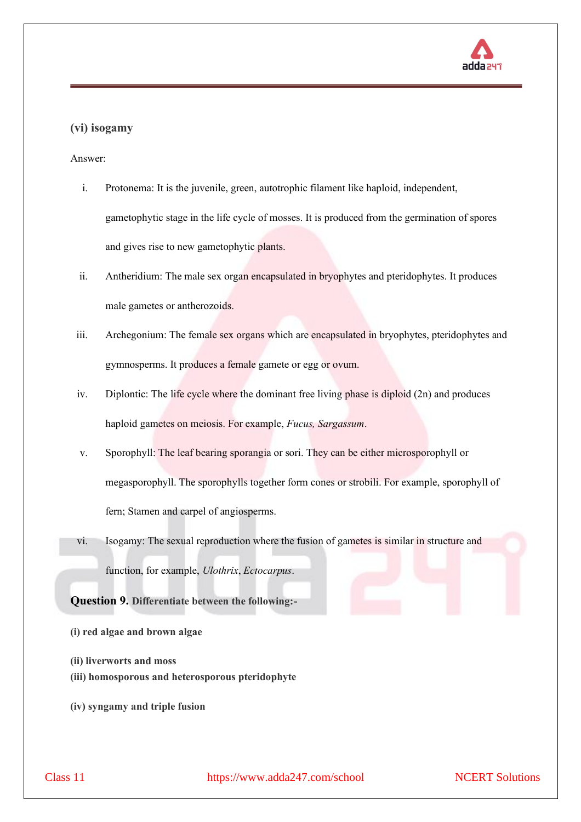

#### **(vi) isogamy**

Answer:

- i. Protonema: It is the juvenile, green, autotrophic filament like haploid, independent, gametophytic stage in the life cycle of mosses. It is produced from the germination of spores and gives rise to new gametophytic plants.
- ii. Antheridium: The male sex organ encapsulated in bryophytes and pteridophytes. It produces male gametes or antherozoids.
- iii. Archegonium: The female sex organs which are encapsulated in bryophytes, pteridophytes and gymnosperms. It produces a female gamete or egg or ovum.
- iv. Diplontic: The life cycle where the dominant free living phase is diploid (2n) and produces haploid gametes on meiosis. For example, *Fucus, Sargassum*.
- v. Sporophyll: The leaf bearing sporangia or sori. They can be either microsporophyll or megasporophyll. The sporophylls together form cones or strobili. For example, sporophyll of fern; Stamen and carpel of angiosperms.
- vi. Isogamy: The sexual reproduction where the fusion of gametes is similar in structure and function, for example, *Ulothrix*, *Ectocarpus*.

**Question 9. Differentiate between the following:-**

- **(i) red algae and brown algae**
- **(ii) liverworts and moss**
- **(iii) homosporous and heterosporous pteridophyte**
- **(iv) syngamy and triple fusion**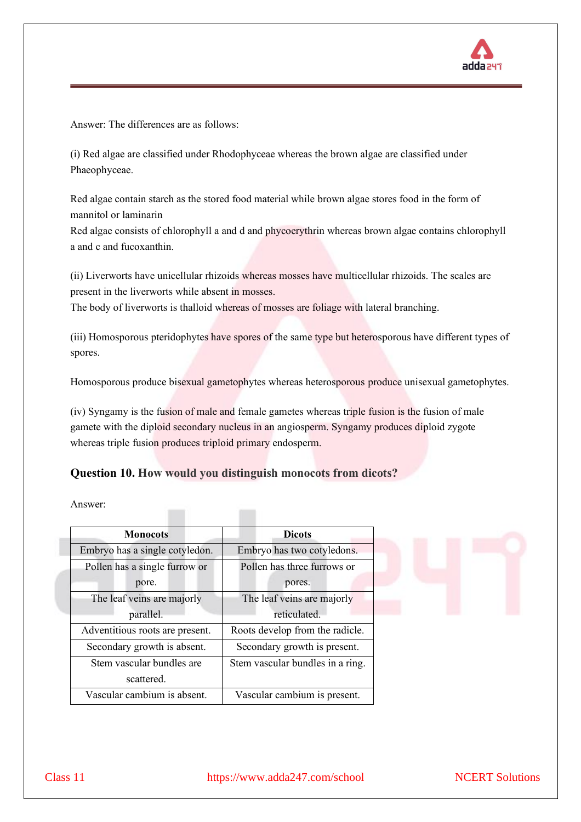

Answer: The differences are as follows:

(i) Red algae are classified under Rhodophyceae whereas the brown algae are classified under Phaeophyceae.

Red algae contain starch as the stored food material while brown algae stores food in the form of mannitol or laminarin

Red algae consists of chlorophyll a and d and phycoerythrin whereas brown algae contains chlorophyll a and c and fucoxanthin.

(ii) Liverworts have unicellular rhizoids whereas mosses have multicellular rhizoids. The scales are present in the liverworts while absent in mosses.

The body of liverworts is thalloid whereas of mosses are foliage with lateral branching.

(iii) Homosporous pteridophytes have spores of the same type but heterosporous have different types of spores.

Homosporous produce bisexual gametophytes whereas heterosporous produce unisexual gametophytes.

(iv) Syngamy is the fusion of male and female gametes whereas triple fusion is the fusion of male gamete with the diploid secondary nucleus in an angiosperm. Syngamy produces diploid zygote whereas triple fusion produces triploid primary endosperm.

#### **Question 10. How would you distinguish monocots from dicots?**

 $\sim$ 

 $\blacksquare$ 

Answer:

| <b>Monocots</b>                 | <b>Dicots</b>                    |
|---------------------------------|----------------------------------|
| Embryo has a single cotyledon.  | Embryo has two cotyledons.       |
| Pollen has a single furrow or   | Pollen has three furrows or      |
| pore.                           | pores.                           |
| The leaf veins are majorly      | The leaf veins are majorly       |
| parallel.                       | reticulated.                     |
| Adventitious roots are present. | Roots develop from the radicle.  |
| Secondary growth is absent.     | Secondary growth is present.     |
| Stem vascular bundles are       | Stem vascular bundles in a ring. |
| scattered.                      |                                  |
| Vascular cambium is absent.     | Vascular cambium is present.     |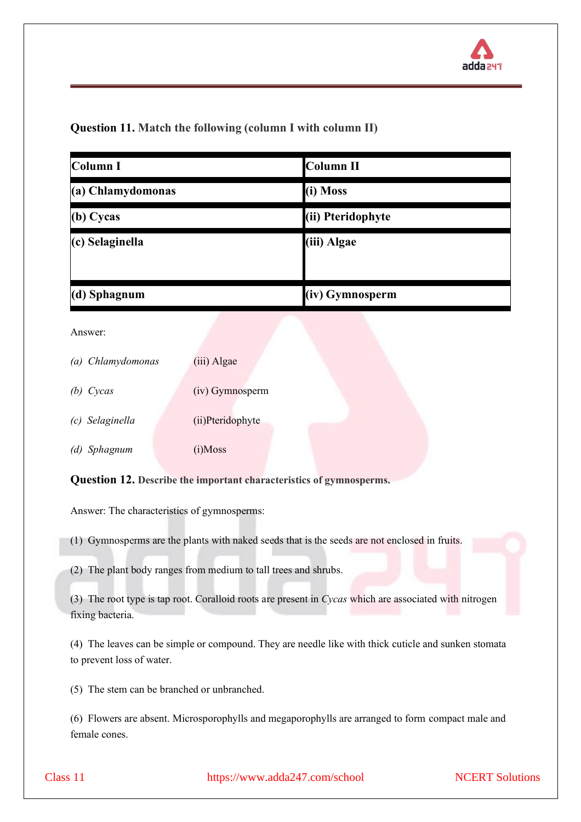### **Question 11. Match the following (column I with column II)**

| Column I          | <b>Column II</b>  |
|-------------------|-------------------|
| (a) Chlamydomonas | (i) Moss          |
| (b) Cycas         | (ii) Pteridophyte |
| $(c)$ Selaginella | (iii) Algae       |
| $(d)$ Sphagnum    | (iv) Gymnosperm   |

Answer:

| (a) Chlamydomonas | (iii) Algae      |
|-------------------|------------------|
| (b) Cycas         | (iv) Gymnosperm  |
| (c) Selaginella   | (ii)Pteridophyte |
| (d) Sphagnum      | $(i)$ Moss       |

**Question 12. Describe the important characteristics of gymnosperms.** 

Answer: The characteristics of gymnosperms:

(1) Gymnosperms are the plants with naked seeds that is the seeds are not enclosed in fruits.

(2) The plant body ranges from medium to tall trees and shrubs.

(3) The root type is tap root. Coralloid roots are present in *Cycas* which are associated with nitrogen fixing bacteria.

(4) The leaves can be simple or compound. They are needle like with thick cuticle and sunken stomata to prevent loss of water.

(5) The stem can be branched or unbranched.

(6) Flowers are absent. Microsporophylls and megaporophylls are arranged to form compact male and female cones.